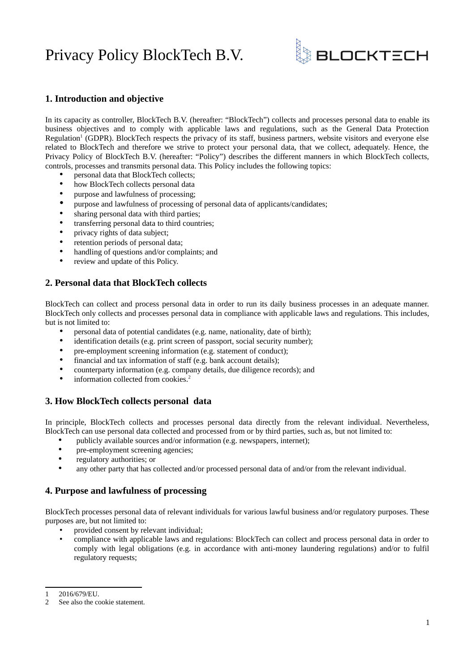# Privacy Policy BlockTech B.V.



# **1. Introduction and objective**

In its capacity as controller, BlockTech B.V. (hereafter: "BlockTech") collects and processes personal data to enable its business objectives and to comply with applicable laws and regulations, such as the General Data Protection Regulation<sup>[1](#page-0-0)</sup> (GDPR). BlockTech respects the privacy of its staff, business partners, website visitors and everyone else related to BlockTech and therefore we strive to protect your personal data, that we collect, adequately. Hence, the Privacy Policy of BlockTech B.V. (hereafter: "Policy") describes the different manners in which BlockTech collects, controls, processes and transmits personal data. This Policy includes the following topics:

- personal data that BlockTech collects;
- how BlockTech collects personal data
- purpose and lawfulness of processing;<br>• purpose and lawfulness of processing
- purpose and lawfulness of processing of personal data of applicants/candidates;<br>• sharing personal data with third parties:
- sharing personal data with third parties;<br>• transferring personal data to third count
- transferring personal data to third countries;
- privacy rights of data subject;<br>• retention periods of personal of
- retention periods of personal data;<br>• handling of questions and/or comp
- handling of questions and/or complaints; and
- review and update of this Policy.

### **2. Personal data that BlockTech collects**

BlockTech can collect and process personal data in order to run its daily business processes in an adequate manner. BlockTech only collects and processes personal data in compliance with applicable laws and regulations. This includes, but is not limited to:

- personal data of potential candidates (e.g. name, nationality, date of birth);
- identification details (e.g. print screen of passport, social security number);
- pre-employment screening information (e.g. statement of conduct);
- financial and tax information of staff (e.g. bank account details);
- counterparty information (e.g. company details, due diligence records); and
- information collected from cookies.<sup>[2](#page-0-1)</sup>

### **3. How BlockTech collects personal data**

In principle, BlockTech collects and processes personal data directly from the relevant individual. Nevertheless, BlockTech can use personal data collected and processed from or by third parties, such as, but not limited to:

- publicly available sources and/or information (e.g. newspapers, internet);
- pre-employment screening agencies;
- regulatory authorities; or
- any other party that has collected and/or processed personal data of and/or from the relevant individual.

#### **4. Purpose and lawfulness of processing**

BlockTech processes personal data of relevant individuals for various lawful business and/or regulatory purposes. These purposes are, but not limited to:

- provided consent by relevant individual;<br>compliance with applicable laws and require
- compliance with applicable laws and regulations: BlockTech can collect and process personal data in order to comply with legal obligations (e.g. in accordance with anti-money laundering regulations) and/or to fulfil regulatory requests;

<span id="page-0-0"></span><sup>1</sup> 2016/679/EU.

<span id="page-0-1"></span><sup>2</sup> See also the cookie statement.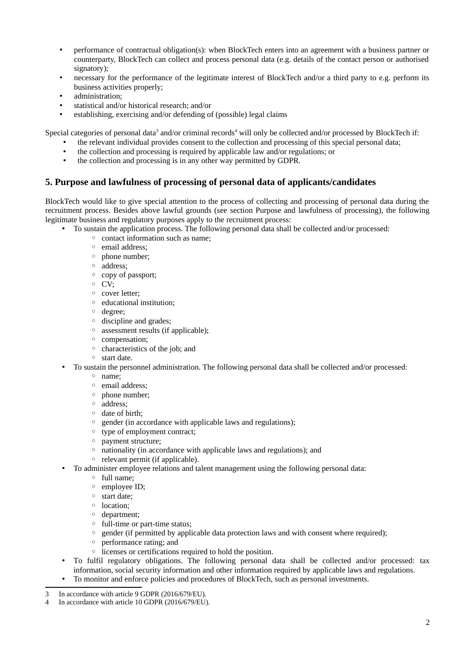- performance of contractual obligation(s): when BlockTech enters into an agreement with a business partner or counterparty, BlockTech can collect and process personal data (e.g. details of the contact person or authorised signatory);
- necessary for the performance of the legitimate interest of BlockTech and/or a third party to e.g. perform its business activities properly;
- administration;
- statistical and/or historical research; and/or
- establishing, exercising and/or defending of (possible) legal claims

Special categories of personal data<sup>[3](#page-1-0)</sup> and/or criminal records<sup>[4](#page-1-1)</sup> will only be collected and/or processed by BlockTech if:

- the relevant individual provides consent to the collection and processing of this special personal data;
- the collection and processing is required by applicable law and/or regulations; or
- the collection and processing is in any other way permitted by GDPR.

# **5. Purpose and lawfulness of processing of personal data of applicants/candidates**

BlockTech would like to give special attention to the process of collecting and processing of personal data during the recruitment process. Besides above lawful grounds (see section Purpose and lawfulness of processing), the following legitimate business and regulatory purposes apply to the recruitment process:

- To sustain the application process. The following personal data shall be collected and/or processed:
	- contact information such as name;
	- email address;
	- phone number;
	- address;
	- copy of passport;
	- CV;
	- cover letter;
	- educational institution;
	- degree;
	- discipline and grades;
	- assessment results (if applicable);
	- compensation;
	- characteristics of the job; and
	- start date.
- To sustain the personnel administration. The following personal data shall be collected and/or processed:
	- name;
	- email address;
	- phone number;
	- address;
	- date of birth;
	- gender (in accordance with applicable laws and regulations);
	- type of employment contract;
	- payment structure;
	- nationality (in accordance with applicable laws and regulations); and
	- relevant permit (if applicable).
- To administer employee relations and talent management using the following personal data:
	- full name;
	- employee ID;
	- start date;
	- location;
	- department;
	- full-time or part-time status;
	- gender (if permitted by applicable data protection laws and with consent where required);
	- performance rating; and
	- licenses or certifications required to hold the position.
- To fulfil regulatory obligations. The following personal data shall be collected and/or processed: tax information, social security information and other information required by applicable laws and regulations.
- To monitor and enforce policies and procedures of BlockTech, such as personal investments.

<span id="page-1-0"></span><sup>3</sup> In accordance with article 9 GDPR (2016/679/EU).

<span id="page-1-1"></span>In accordance with article 10 GDPR (2016/679/EU).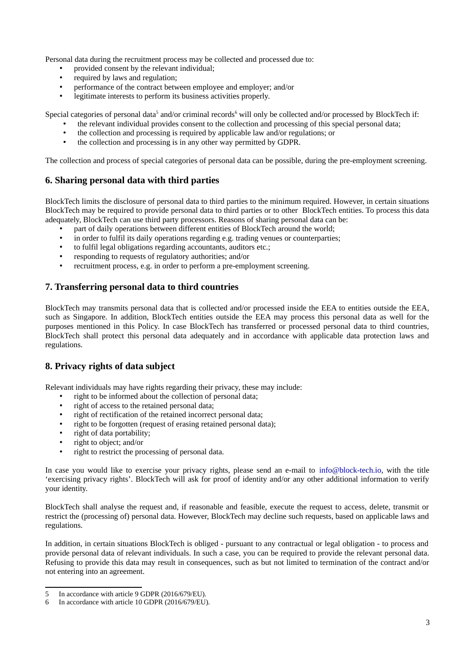Personal data during the recruitment process may be collected and processed due to:

- provided consent by the relevant individual;<br>• required by laws and requlation:
- required by laws and regulation;
- performance of the contract between employee and employer; and/or
- legitimate interests to perform its business activities properly.

Special categories of personal data<sup>[5](#page-2-0)</sup> and/or criminal records<sup>[6](#page-2-1)</sup> will only be collected and/or processed by BlockTech if:

- the relevant individual provides consent to the collection and processing of this special personal data;
- the collection and processing is required by applicable law and/or regulations; or
- the collection and processing is in any other way permitted by GDPR.

The collection and process of special categories of personal data can be possible, during the pre-employment screening.

### **6. Sharing personal data with third parties**

BlockTech limits the disclosure of personal data to third parties to the minimum required. However, in certain situations BlockTech may be required to provide personal data to third parties or to other BlockTech entities. To process this data adequately, BlockTech can use third party processors. Reasons of sharing personal data can be:

- part of daily operations between different entities of BlockTech around the world;
- in order to fulfil its daily operations regarding e.g. trading venues or counterparties;
- to fulfil legal obligations regarding accountants, auditors etc.;
- responding to requests of regulatory authorities; and/or
- recruitment process, e.g. in order to perform a pre-employment screening.

# **7. Transferring personal data to third countries**

BlockTech may transmits personal data that is collected and/or processed inside the EEA to entities outside the EEA, such as Singapore. In addition, BlockTech entities outside the EEA may process this personal data as well for the purposes mentioned in this Policy. In case BlockTech has transferred or processed personal data to third countries, BlockTech shall protect this personal data adequately and in accordance with applicable data protection laws and regulations.

### **8. Privacy rights of data subject**

Relevant individuals may have rights regarding their privacy, these may include:

- right to be informed about the collection of personal data;
- right of access to the retained personal data;
- right of rectification of the retained incorrect personal data;
- right to be forgotten (request of erasing retained personal data);
- right of data portability;
- right to object; and/or
- right to restrict the processing of personal data.

In case you would like to exercise your privacy rights, please send an e-mail to [info@block-tech.io](mailto:info@block-tech.io), with the title 'exercising privacy rights'. BlockTech will ask for proof of identity and/or any other additional information to verify your identity.

BlockTech shall analyse the request and, if reasonable and feasible, execute the request to access, delete, transmit or restrict the (processing of) personal data. However, BlockTech may decline such requests, based on applicable laws and regulations.

In addition, in certain situations BlockTech is obliged - pursuant to any contractual or legal obligation - to process and provide personal data of relevant individuals. In such a case, you can be required to provide the relevant personal data. Refusing to provide this data may result in consequences, such as but not limited to termination of the contract and/or not entering into an agreement.

<span id="page-2-0"></span><sup>5</sup> In accordance with article 9 GDPR (2016/679/EU).

<span id="page-2-1"></span><sup>6</sup> In accordance with article 10 GDPR (2016/679/EU).